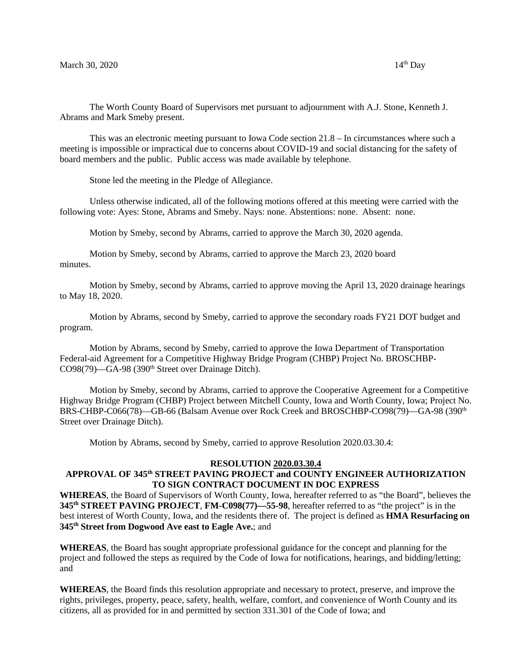The Worth County Board of Supervisors met pursuant to adjournment with A.J. Stone, Kenneth J. Abrams and Mark Smeby present.

This was an electronic meeting pursuant to Iowa Code section 21.8 – In circumstances where such a meeting is impossible or impractical due to concerns about COVID-19 and social distancing for the safety of board members and the public. Public access was made available by telephone.

Stone led the meeting in the Pledge of Allegiance.

Unless otherwise indicated, all of the following motions offered at this meeting were carried with the following vote: Ayes: Stone, Abrams and Smeby. Nays: none. Abstentions: none. Absent: none.

Motion by Smeby, second by Abrams, carried to approve the March 30, 2020 agenda.

Motion by Smeby, second by Abrams, carried to approve the March 23, 2020 board minutes.

Motion by Smeby, second by Abrams, carried to approve moving the April 13, 2020 drainage hearings to May 18, 2020.

Motion by Abrams, second by Smeby, carried to approve the secondary roads FY21 DOT budget and program.

Motion by Abrams, second by Smeby, carried to approve the Iowa Department of Transportation Federal-aid Agreement for a Competitive Highway Bridge Program (CHBP) Project No. BROSCHBP-CO98(79)—GA-98 (390<sup>th</sup> Street over Drainage Ditch).

Motion by Smeby, second by Abrams, carried to approve the Cooperative Agreement for a Competitive Highway Bridge Program (CHBP) Project between Mitchell County, Iowa and Worth County, Iowa; Project No. BRS-CHBP-C066(78)—GB-66 (Balsam Avenue over Rock Creek and BROSCHBP-CO98(79)—GA-98 (390<sup>th</sup> Street over Drainage Ditch).

Motion by Abrams, second by Smeby, carried to approve Resolution 2020.03.30.4:

#### **RESOLUTION 2020.03.30.4**

#### **APPROVAL OF 345th STREET PAVING PROJECT and COUNTY ENGINEER AUTHORIZATION TO SIGN CONTRACT DOCUMENT IN DOC EXPRESS**

**WHEREAS**, the Board of Supervisors of Worth County, Iowa, hereafter referred to as "the Board", believes the **345th STREET PAVING PROJECT**, **FM-C098(77)—55-98**, hereafter referred to as "the project" is in the best interest of Worth County, Iowa, and the residents there of. The project is defined as **HMA Resurfacing on 345th Street from Dogwood Ave east to Eagle Ave.**; and

**WHEREAS**, the Board has sought appropriate professional guidance for the concept and planning for the project and followed the steps as required by the Code of Iowa for notifications, hearings, and bidding/letting; and

**WHEREAS**, the Board finds this resolution appropriate and necessary to protect, preserve, and improve the rights, privileges, property, peace, safety, health, welfare, comfort, and convenience of Worth County and its citizens, all as provided for in and permitted by section 331.301 of the Code of Iowa; and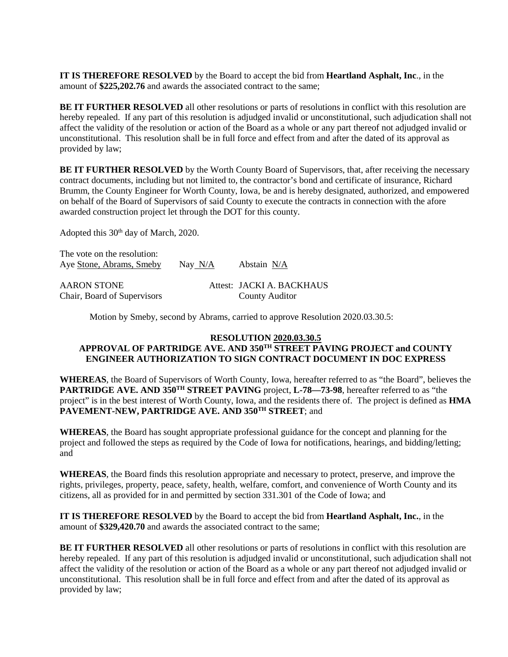**IT IS THEREFORE RESOLVED** by the Board to accept the bid from **Heartland Asphalt, Inc**., in the amount of **\$225,202.76** and awards the associated contract to the same;

**BE IT FURTHER RESOLVED** all other resolutions or parts of resolutions in conflict with this resolution are hereby repealed. If any part of this resolution is adjudged invalid or unconstitutional, such adjudication shall not affect the validity of the resolution or action of the Board as a whole or any part thereof not adjudged invalid or unconstitutional. This resolution shall be in full force and effect from and after the dated of its approval as provided by law;

**BE IT FURTHER RESOLVED** by the Worth County Board of Supervisors, that, after receiving the necessary contract documents, including but not limited to, the contractor's bond and certificate of insurance, Richard Brumm, the County Engineer for Worth County, Iowa, be and is hereby designated, authorized, and empowered on behalf of the Board of Supervisors of said County to execute the contracts in connection with the afore awarded construction project let through the DOT for this county.

Adopted this 30<sup>th</sup> day of March, 2020.

The vote on the resolution: Aye Stone, Abrams, Smeby Nay N/A Abstain N/A AARON STONE Attest: JACKI A. BACKHAUS Chair, Board of Supervisors County Auditor

Motion by Smeby, second by Abrams, carried to approve Resolution 2020.03.30.5:

#### **RESOLUTION 2020.03.30.5**

# **APPROVAL OF PARTRIDGE AVE. AND 350TH STREET PAVING PROJECT and COUNTY ENGINEER AUTHORIZATION TO SIGN CONTRACT DOCUMENT IN DOC EXPRESS**

**WHEREAS**, the Board of Supervisors of Worth County, Iowa, hereafter referred to as "the Board", believes the **PARTRIDGE AVE. AND 350TH STREET PAVING** project, **L-78—73-98**, hereafter referred to as "the project" is in the best interest of Worth County, Iowa, and the residents there of. The project is defined as **HMA PAVEMENT-NEW, PARTRIDGE AVE. AND 350TH STREET**; and

**WHEREAS**, the Board has sought appropriate professional guidance for the concept and planning for the project and followed the steps as required by the Code of Iowa for notifications, hearings, and bidding/letting; and

**WHEREAS**, the Board finds this resolution appropriate and necessary to protect, preserve, and improve the rights, privileges, property, peace, safety, health, welfare, comfort, and convenience of Worth County and its citizens, all as provided for in and permitted by section 331.301 of the Code of Iowa; and

**IT IS THEREFORE RESOLVED** by the Board to accept the bid from **Heartland Asphalt, Inc.**, in the amount of **\$329,420.70** and awards the associated contract to the same;

**BE IT FURTHER RESOLVED** all other resolutions or parts of resolutions in conflict with this resolution are hereby repealed. If any part of this resolution is adjudged invalid or unconstitutional, such adjudication shall not affect the validity of the resolution or action of the Board as a whole or any part thereof not adjudged invalid or unconstitutional. This resolution shall be in full force and effect from and after the dated of its approval as provided by law;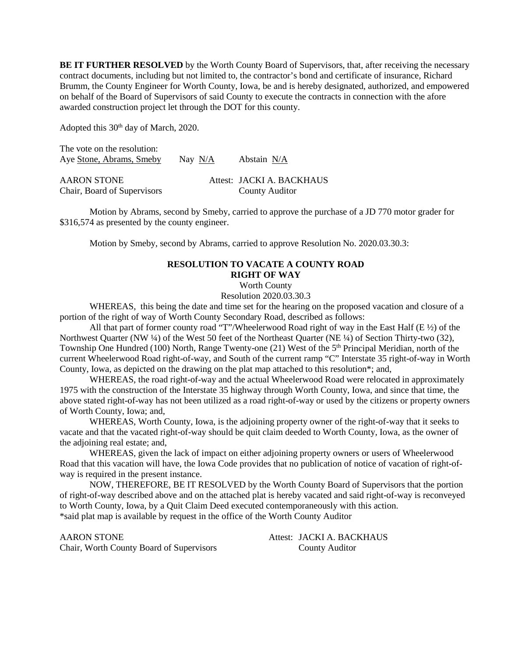**BE IT FURTHER RESOLVED** by the Worth County Board of Supervisors, that, after receiving the necessary contract documents, including but not limited to, the contractor's bond and certificate of insurance, Richard Brumm, the County Engineer for Worth County, Iowa, be and is hereby designated, authorized, and empowered on behalf of the Board of Supervisors of said County to execute the contracts in connection with the afore awarded construction project let through the DOT for this county.

Adopted this 30<sup>th</sup> day of March, 2020.

The vote on the resolution: Aye Stone, Abrams, Smeby Nay N/A Abstain N/A

| AARON STONE                 | Attest: JACKI A. BACKHAUS |
|-----------------------------|---------------------------|
| Chair, Board of Supervisors | <b>County Auditor</b>     |

Motion by Abrams, second by Smeby, carried to approve the purchase of a JD 770 motor grader for \$316,574 as presented by the county engineer.

Motion by Smeby, second by Abrams, carried to approve Resolution No. 2020.03.30.3:

## **RESOLUTION TO VACATE A COUNTY ROAD RIGHT OF WAY**

Worth County

Resolution 2020.03.30.3

WHEREAS, this being the date and time set for the hearing on the proposed vacation and closure of a portion of the right of way of Worth County Secondary Road, described as follows:

All that part of former county road "T"/Wheelerwood Road right of way in the East Half (E ½) of the Northwest Quarter (NW ¼) of the West 50 feet of the Northeast Quarter (NE ¼) of Section Thirty-two (32), Township One Hundred (100) North, Range Twenty-one (21) West of the 5<sup>th</sup> Principal Meridian, north of the current Wheelerwood Road right-of-way, and South of the current ramp "C" Interstate 35 right-of-way in Worth County, Iowa, as depicted on the drawing on the plat map attached to this resolution\*; and,

WHEREAS, the road right-of-way and the actual Wheelerwood Road were relocated in approximately 1975 with the construction of the Interstate 35 highway through Worth County, Iowa, and since that time, the above stated right-of-way has not been utilized as a road right-of-way or used by the citizens or property owners of Worth County, Iowa; and,

WHEREAS, Worth County, Iowa, is the adjoining property owner of the right-of-way that it seeks to vacate and that the vacated right-of-way should be quit claim deeded to Worth County, Iowa, as the owner of the adjoining real estate; and,

WHEREAS, given the lack of impact on either adjoining property owners or users of Wheelerwood Road that this vacation will have, the Iowa Code provides that no publication of notice of vacation of right-ofway is required in the present instance.

NOW, THEREFORE, BE IT RESOLVED by the Worth County Board of Supervisors that the portion of right-of-way described above and on the attached plat is hereby vacated and said right-of-way is reconveyed to Worth County, Iowa, by a Quit Claim Deed executed contemporaneously with this action. \*said plat map is available by request in the office of the Worth County Auditor

AARON STONE Attest: JACKI A. BACKHAUS Chair, Worth County Board of Supervisors County Auditor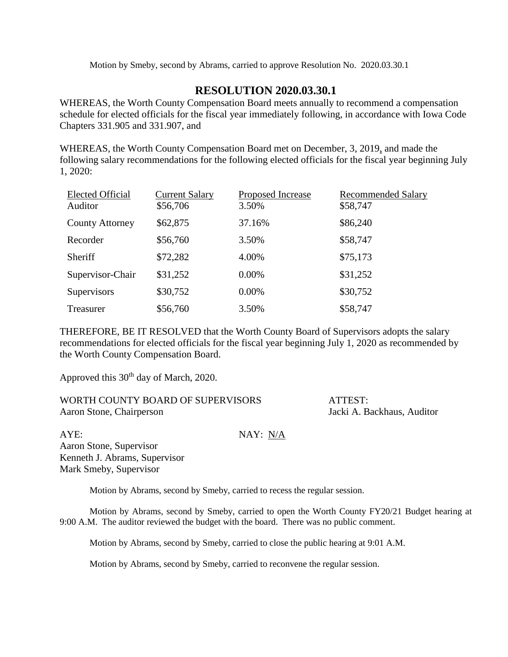Motion by Smeby, second by Abrams, carried to approve Resolution No. 2020.03.30.1

# **RESOLUTION 2020.03.30.1**

WHEREAS, the Worth County Compensation Board meets annually to recommend a compensation schedule for elected officials for the fiscal year immediately following, in accordance with Iowa Code Chapters 331.905 and 331.907, and

WHEREAS, the Worth County Compensation Board met on December, 3, 2019, and made the following salary recommendations for the following elected officials for the fiscal year beginning July 1, 2020:

| <b>Elected Official</b><br>Auditor | <b>Current Salary</b><br>\$56,706 | Proposed Increase<br>3.50% | <b>Recommended Salary</b><br>\$58,747 |
|------------------------------------|-----------------------------------|----------------------------|---------------------------------------|
| <b>County Attorney</b>             | \$62,875                          | 37.16%                     | \$86,240                              |
| Recorder                           | \$56,760                          | 3.50%                      | \$58,747                              |
| Sheriff                            | \$72,282                          | 4.00%                      | \$75,173                              |
| Supervisor-Chair                   | \$31,252                          | $0.00\%$                   | \$31,252                              |
| Supervisors                        | \$30,752                          | $0.00\%$                   | \$30,752                              |
| Treasurer                          | \$56,760                          | 3.50%                      | \$58,747                              |

THEREFORE, BE IT RESOLVED that the Worth County Board of Supervisors adopts the salary recommendations for elected officials for the fiscal year beginning July 1, 2020 as recommended by the Worth County Compensation Board.

Approved this 30<sup>th</sup> day of March, 2020.

| WORTH COUNTY BOARD OF SUPERVISORS | ATTEST:                    |
|-----------------------------------|----------------------------|
| Aaron Stone, Chairperson          | Jacki A. Backhaus, Auditor |

AYE: NAY: N/A Aaron Stone, Supervisor Kenneth J. Abrams, Supervisor Mark Smeby, Supervisor

Motion by Abrams, second by Smeby, carried to recess the regular session.

Motion by Abrams, second by Smeby, carried to open the Worth County FY20/21 Budget hearing at 9:00 A.M. The auditor reviewed the budget with the board. There was no public comment.

Motion by Abrams, second by Smeby, carried to close the public hearing at 9:01 A.M.

Motion by Abrams, second by Smeby, carried to reconvene the regular session.